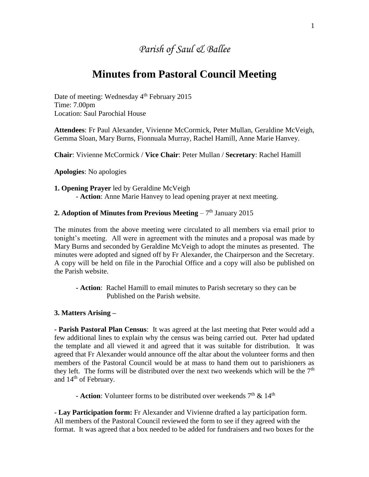# *Parish of Saul & Ballee*

## **Minutes from Pastoral Council Meeting**

Date of meeting: Wednesday 4<sup>th</sup> February 2015 Time: 7.00pm Location: Saul Parochial House

**Attendees**: Fr Paul Alexander, Vivienne McCormick, Peter Mullan, Geraldine McVeigh, Gemma Sloan, Mary Burns, Fionnuala Murray, Rachel Hamill, Anne Marie Hanvey.

**Chair**: Vivienne McCormick / **Vice Chair**: Peter Mullan / **Secretary**: Rachel Hamill

**Apologies**: No apologies

**1. Opening Prayer** led by Geraldine McVeigh - **Action**: Anne Marie Hanvey to lead opening prayer at next meeting.

### **2. Adoption of Minutes from Previous Meeting – 7<sup>th</sup> January 2015**

The minutes from the above meeting were circulated to all members via email prior to tonight's meeting. All were in agreement with the minutes and a proposal was made by Mary Burns and seconded by Geraldine McVeigh to adopt the minutes as presented. The minutes were adopted and signed off by Fr Alexander, the Chairperson and the Secretary. A copy will be held on file in the Parochial Office and a copy will also be published on the Parish website.

**- Action**: Rachel Hamill to email minutes to Parish secretary so they can be Published on the Parish website.

#### **3. Matters Arising –**

**- Parish Pastoral Plan Census**: It was agreed at the last meeting that Peter would add a few additional lines to explain why the census was being carried out. Peter had updated the template and all viewed it and agreed that it was suitable for distribution. It was agreed that Fr Alexander would announce off the altar about the volunteer forms and then members of the Pastoral Council would be at mass to hand them out to parishioners as they left. The forms will be distributed over the next two weekends which will be the  $7<sup>th</sup>$ and 14th of February.

**- Action**: Volunteer forms to be distributed over weekends 7<sup>th</sup> & 14<sup>th</sup>

**- Lay Participation form:** Fr Alexander and Vivienne drafted a lay participation form. All members of the Pastoral Council reviewed the form to see if they agreed with the format. It was agreed that a box needed to be added for fundraisers and two boxes for the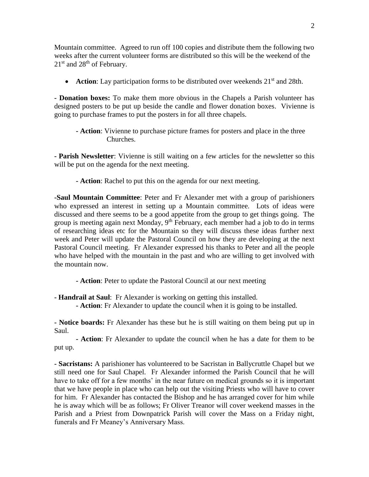Mountain committee. Agreed to run off 100 copies and distribute them the following two weeks after the current volunteer forms are distributed so this will be the weekend of the  $21<sup>st</sup>$  and  $28<sup>th</sup>$  of February.

• **Action**: Lay participation forms to be distributed over weekends  $21<sup>st</sup>$  and  $28th$ .

**- Donation boxes:** To make them more obvious in the Chapels a Parish volunteer has designed posters to be put up beside the candle and flower donation boxes. Vivienne is going to purchase frames to put the posters in for all three chapels.

**- Action**: Vivienne to purchase picture frames for posters and place in the three Churches.

**- Parish Newsletter**: Vivienne is still waiting on a few articles for the newsletter so this will be put on the agenda for the next meeting.

**- Action**: Rachel to put this on the agenda for our next meeting.

**-Saul Mountain Committee**: Peter and Fr Alexander met with a group of parishioners who expressed an interest in setting up a Mountain committee. Lots of ideas were discussed and there seems to be a good appetite from the group to get things going. The group is meeting again next Monday, 9<sup>th</sup> February, each member had a job to do in terms of researching ideas etc for the Mountain so they will discuss these ideas further next week and Peter will update the Pastoral Council on how they are developing at the next Pastoral Council meeting. Fr Alexander expressed his thanks to Peter and all the people who have helped with the mountain in the past and who are willing to get involved with the mountain now.

**- Action**: Peter to update the Pastoral Council at our next meeting

**- Handrail at Saul**: Fr Alexander is working on getting this installed.

**- Action**: Fr Alexander to update the council when it is going to be installed.

**- Notice boards:** Fr Alexander has these but he is still waiting on them being put up in Saul.

**- Action**: Fr Alexander to update the council when he has a date for them to be put up.

**- Sacristans:** A parishioner has volunteered to be Sacristan in Ballycruttle Chapel but we still need one for Saul Chapel. Fr Alexander informed the Parish Council that he will have to take off for a few months' in the near future on medical grounds so it is important that we have people in place who can help out the visiting Priests who will have to cover for him. Fr Alexander has contacted the Bishop and he has arranged cover for him while he is away which will be as follows; Fr Oliver Treanor will cover weekend masses in the Parish and a Priest from Downpatrick Parish will cover the Mass on a Friday night, funerals and Fr Meaney's Anniversary Mass.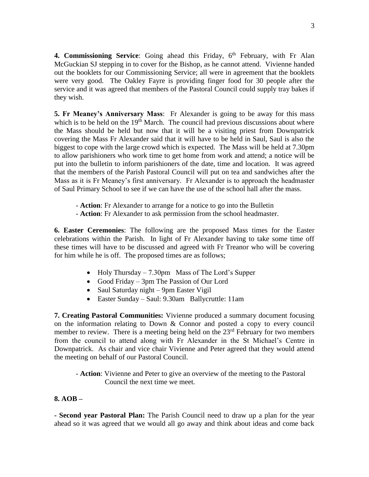**4. Commissioning Service**: Going ahead this Friday, 6<sup>th</sup> February, with Fr Alan McGuckian SJ stepping in to cover for the Bishop, as he cannot attend. Vivienne handed out the booklets for our Commissioning Service; all were in agreement that the booklets were very good. The Oakley Fayre is providing finger food for 30 people after the service and it was agreed that members of the Pastoral Council could supply tray bakes if they wish.

**5. Fr Meaney's Anniversary Mass**: Fr Alexander is going to be away for this mass which is to be held on the  $19<sup>th</sup>$  March. The council had previous discussions about where the Mass should be held but now that it will be a visiting priest from Downpatrick covering the Mass Fr Alexander said that it will have to be held in Saul, Saul is also the biggest to cope with the large crowd which is expected. The Mass will be held at 7.30pm to allow parishioners who work time to get home from work and attend; a notice will be put into the bulletin to inform parishioners of the date, time and location. It was agreed that the members of the Parish Pastoral Council will put on tea and sandwiches after the Mass as it is Fr Meaney's first anniversary. Fr Alexander is to approach the headmaster of Saul Primary School to see if we can have the use of the school hall after the mass.

- **Action**: Fr Alexander to arrange for a notice to go into the Bulletin
- **Action**: Fr Alexander to ask permission from the school headmaster.

**6. Easter Ceremonies**: The following are the proposed Mass times for the Easter celebrations within the Parish. In light of Fr Alexander having to take some time off these times will have to be discussed and agreed with Fr Treanor who will be covering for him while he is off. The proposed times are as follows;

- Holy Thursday 7.30pm Mass of The Lord's Supper
- Good Friday 3pm The Passion of Our Lord
- Saul Saturday night 9pm Easter Vigil
- Easter Sunday Saul: 9.30am Ballycruttle: 11am

**7. Creating Pastoral Communities:** Vivienne produced a summary document focusing on the information relating to Down & Connor and posted a copy to every council member to review. There is a meeting being held on the 23<sup>rd</sup> February for two members from the council to attend along with Fr Alexander in the St Michael's Centre in Downpatrick. As chair and vice chair Vivienne and Peter agreed that they would attend the meeting on behalf of our Pastoral Council.

- **Action**: Vivienne and Peter to give an overview of the meeting to the Pastoral Council the next time we meet.

### **8. AOB –**

**- Second year Pastoral Plan:** The Parish Council need to draw up a plan for the year ahead so it was agreed that we would all go away and think about ideas and come back